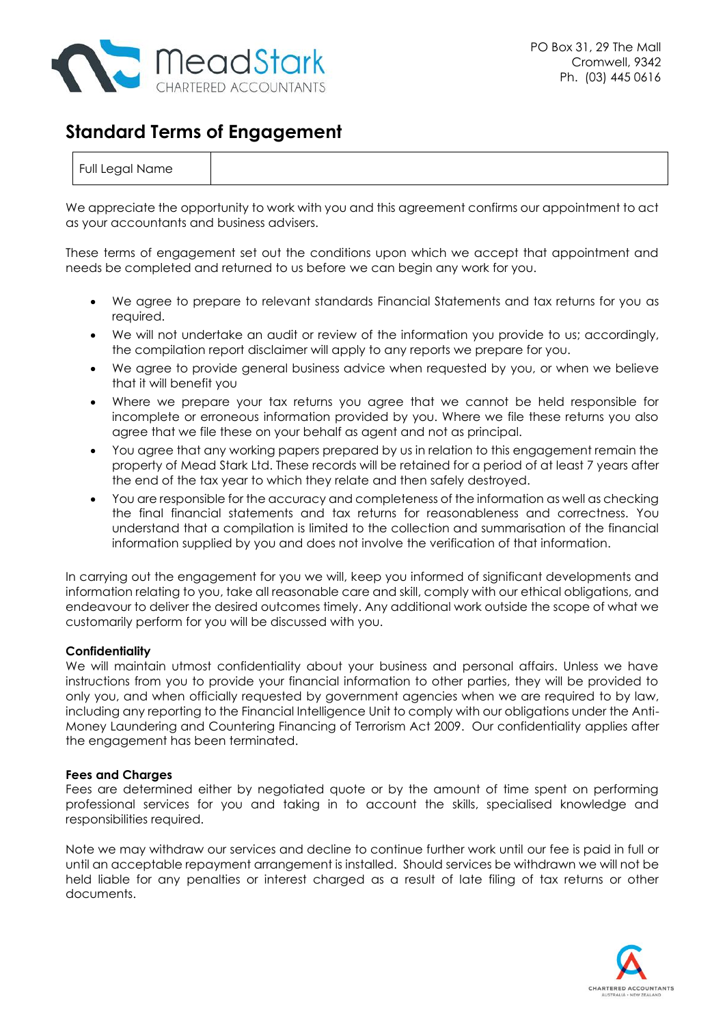

# **Standard Terms of Engagement**

| Full Legal Name |  |  |  |  |  |  |
|-----------------|--|--|--|--|--|--|
|-----------------|--|--|--|--|--|--|

We appreciate the opportunity to work with you and this agreement confirms our appointment to act as your accountants and business advisers.

These terms of engagement set out the conditions upon which we accept that appointment and needs be completed and returned to us before we can begin any work for you.

- We agree to prepare to relevant standards Financial Statements and tax returns for you as required.
- We will not undertake an audit or review of the information you provide to us; accordingly, the compilation report disclaimer will apply to any reports we prepare for you.
- We agree to provide general business advice when requested by you, or when we believe that it will benefit you
- Where we prepare your tax returns you agree that we cannot be held responsible for incomplete or erroneous information provided by you. Where we file these returns you also agree that we file these on your behalf as agent and not as principal.
- You agree that any working papers prepared by us in relation to this engagement remain the property of Mead Stark Ltd. These records will be retained for a period of at least 7 years after the end of the tax year to which they relate and then safely destroyed.
- You are responsible for the accuracy and completeness of the information as well as checking the final financial statements and tax returns for reasonableness and correctness. You understand that a compilation is limited to the collection and summarisation of the financial information supplied by you and does not involve the verification of that information.

In carrying out the engagement for you we will, keep you informed of significant developments and information relating to you, take all reasonable care and skill, comply with our ethical obligations, and endeavour to deliver the desired outcomes timely. Any additional work outside the scope of what we customarily perform for you will be discussed with you.

### **Confidentiality**

We will maintain utmost confidentiality about your business and personal affairs. Unless we have instructions from you to provide your financial information to other parties, they will be provided to only you, and when officially requested by government agencies when we are required to by law, including any reporting to the Financial Intelligence Unit to comply with our obligations under the Anti-Money Laundering and Countering Financing of Terrorism Act 2009. Our confidentiality applies after the engagement has been terminated.

### **Fees and Charges**

Fees are determined either by negotiated quote or by the amount of time spent on performing professional services for you and taking in to account the skills, specialised knowledge and responsibilities required.

Note we may withdraw our services and decline to continue further work until our fee is paid in full or until an acceptable repayment arrangement is installed. Should services be withdrawn we will not be held liable for any penalties or interest charged as a result of late filing of tax returns or other documents.